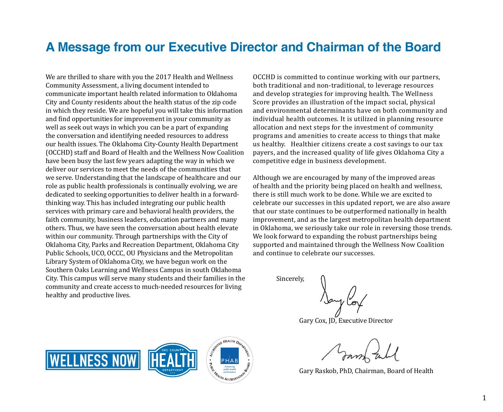## **A Message from our Executive Director and Chairman of the Board**

We are thrilled to share with you the 2017 Health and Wellness Community Assessment, a living document intended to communicate important health related information to Oklahoma City and County residents about the health status of the zip code in which they reside. We are hopeful you will take this information and find opportunities for improvement in your community as well as seek out ways in which you can be a part of expanding the conversation and identifying needed resources to address our health issues. The Oklahoma City-County Health Department (OCCHD) staff and Board of Health and the Wellness Now Coalition have been busy the last few years adapting the way in which we deliver our services to meet the needs of the communities that we serve. Understanding that the landscape of healthcare and our role as public health professionals is continually evolving, we are dedicated to seeking opportunities to deliver health in a forwardthinking way. This has included integrating our public health services with primary care and behavioral health providers, the faith community, business leaders, education partners and many others. Thus, we have seen the conversation about health elevate within our community. Through partnerships with the City of Oklahoma City, Parks and Recreation Department, Oklahoma City Public Schools, UCO, OCCC, OU Physicians and the Metropolitan Library System of Oklahoma City, we have begun work on the Southern Oaks Learning and Wellness Campus in south Oklahoma City. This campus will serve many students and their families in the community and create access to much-needed resources for living healthy and productive lives.

OCCHD is committed to continue working with our partners, both traditional and non-traditional, to leverage resources and develop strategies for improving health. The Wellness Score provides an illustration of the impact social, physical and environmental determinants have on both community and individual health outcomes. It is utilized in planning resource allocation and next steps for the investment of community programs and amenities to create access to things that make us healthy. Healthier citizens create a cost savings to our tax payers, and the increased quality of life gives Oklahoma City a competitive edge in business development.

Although we are encouraged by many of the improved areas of health and the priority being placed on health and wellness, there is still much work to be done. While we are excited to celebrate our successes in this updated report, we are also aware that our state continues to be outperformed nationally in health improvement, and as the largest metropolitan health department in Oklahoma, we seriously take our role in reversing those trends. We look forward to expanding the robust partnerships being supported and maintained through the Wellness Now Coalition and continue to celebrate our successes.

Sincerely,

Gary Cox, JD, Executive Director

Gary Raskob, PhD, Chairman, Board of Health

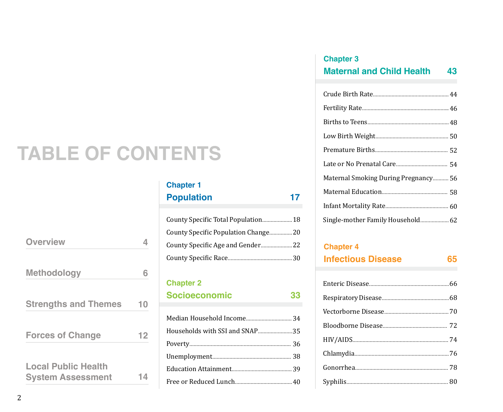# **TABLE OF CONTENTS**

| <b>Overview</b>                                        |    |
|--------------------------------------------------------|----|
| <b>Methodology</b>                                     | 6  |
| <b>Strengths and Themes</b>                            | 10 |
| <b>Forces of Change</b>                                | 12 |
| <b>Local Public Health</b><br><b>System Assessment</b> | 14 |

## **Chapter 1** Population 17

| County Specific Total Population 18  |  |
|--------------------------------------|--|
| County Specific Population Change 20 |  |
|                                      |  |
|                                      |  |

### **Chapter 2**

| <b>Socioeconomic</b> | 33 |
|----------------------|----|
|                      |    |

## **Chapter 3 Maternal and Child Health 43**

| Maternal Smoking During Pregnancy 56 |
|--------------------------------------|
|                                      |
|                                      |
| Single-mother Family Household 62    |

### **Chapter 4**

| <b>Infectious Disease</b> |  |
|---------------------------|--|
|                           |  |
|                           |  |
|                           |  |
|                           |  |
|                           |  |
|                           |  |
|                           |  |
|                           |  |
|                           |  |
|                           |  |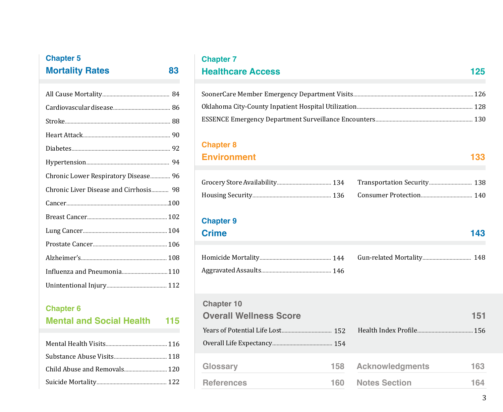## **Chapter 5 Mortality Rates 83**

| Chronic Lower Respiratory Disease 96   |
|----------------------------------------|
| Chronic Liver Disease and Cirrhosis 98 |
|                                        |
|                                        |
|                                        |
|                                        |
|                                        |
| Influenza and Pneumonia 110            |
|                                        |
|                                        |

## **Chapter 6 Mental and Social Health 115**

## **Chapter 7**

## **Healthcare Access 125**

### **Chapter 8 Environment 133**

## **Chapter 9**

## **Crime** 143

## **Chapter 10**

| <b>Overall Wellness Score</b> |      |                        | 151 |
|-------------------------------|------|------------------------|-----|
|                               |      |                        |     |
|                               |      |                        |     |
| Glossary                      | 158  | <b>Acknowledgments</b> | 163 |
| <b>References</b>             | 160- | <b>Notes Section</b>   | 164 |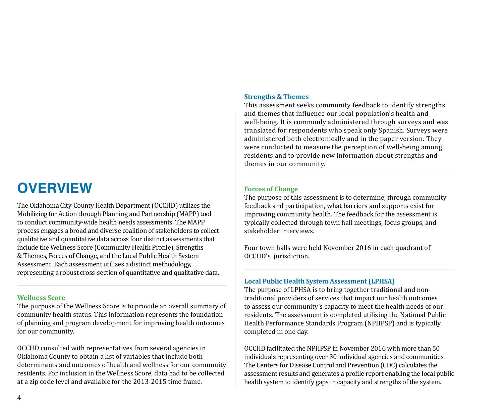## **OVERVIEW**

The Oklahoma City-County Health Department (OCCHD) utilizes the Mobilizing for Action through Planning and Partnership (MAPP) tool to conduct community-wide health needs assessments. The MAPP process engages a broad and diverse coalition of stakeholders to collect qualitative and quantitative data across four distinct assessments that include the Wellness Score (Community Health Profile), Strengths & Themes, Forces of Change, and the Local Public Health System Assessment. Each assessment utilizes a distinct methodology, representing a robust cross-section of quantitative and qualitative data.

### **Wellness Score**

The purpose of the Wellness Score is to provide an overall summary of community health status. This information represents the foundation of planning and program development for improving health outcomes for our community.

OCCHD consulted with representatives from several agencies in Oklahoma County to obtain a list of variables that include both determinants and outcomes of health and wellness for our community residents. For inclusion in the Wellness Score, data had to be collected at a zip code level and available for the 2013-2015 time frame.

### **Strengths & Themes**

This assessment seeks community feedback to identify strengths and themes that influence our local population's health and well-being. It is commonly administered through surveys and was translated for respondents who speak only Spanish. Surveys were administered both electronically and in the paper version. They were conducted to measure the perception of well-being among residents and to provide new information about strengths and themes in our community.

### **Forces of Change**

The purpose of this assessment is to determine, through community feedback and participation, what barriers and supports exist for improving community health. The feedback for the assessment is typically collected through town hall meetings, focus groups, and stakeholder interviews.

Four town halls were held November 2016 in each quadrant of OCCHD's jurisdiction.

### **Local Public Health System Assessment (LPHSA)**

The purpose of LPHSA is to bring together traditional and nontraditional providers of services that impact our health outcomes to assess our community's capacity to meet the health needs of our residents. The assessment is completed utilizing the National Public Health Performance Standards Program (NPHPSP) and is typically completed in one day.

OCCHD facilitated the NPHPSP in November 2016 with more than 50 individuals representing over 30 individual agencies and communities. The Centers for Disease Control and Prevention (CDC) calculates the assessment results and generates a profile report enabling the local public health system to identify gaps in capacity and strengths of the system.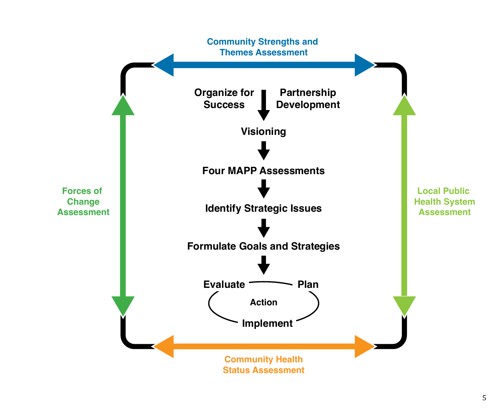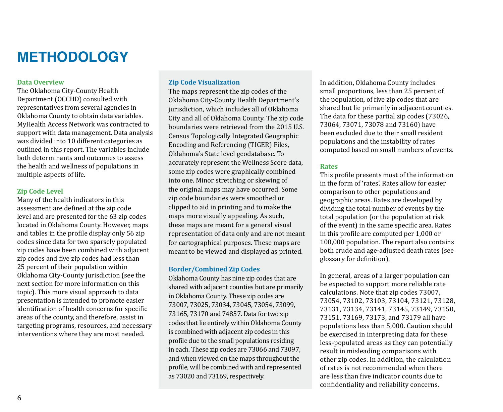## **METHODOLOGY**

#### **Data Overview**

The Oklahoma City-County Health Department (OCCHD) consulted with representatives from several agencies in Oklahoma County to obtain data variables. MyHealth Access Network was contracted to support with data management. Data analysis was divided into 10 different categories as outlined in this report. The variables include both determinants and outcomes to assess the health and wellness of populations in multiple aspects of life.

#### **Zip Code Level**

Many of the health indicators in this assessment are defined at the zip code level and are presented for the 63 zip codes located in Oklahoma County. However, maps and tables in the profile display only 56 zip codes since data for two sparsely populated zip codes have been combined with adjacent zip codes and five zip codes had less than 25 percent of their population within Oklahoma City-County jurisdiction (see the next section for more information on this topic). This more visual approach to data presentation is intended to promote easier identification of health concerns for specific areas of the county, and therefore, assist in targeting programs, resources, and necessary interventions where they are most needed.

#### **Zip Code Visualization**

The maps represent the zip codes of the Oklahoma City-County Health Department's jurisdiction, which includes all of Oklahoma City and all of Oklahoma County. The zip code boundaries were retrieved from the 2015 U.S. Census Topologically Integrated Geographic Encoding and Referencing (TIGER) Files, Oklahoma's State level geodatabase. To accurately represent the Wellness Score data, some zip codes were graphically combined into one. Minor stretching or skewing of the original maps may have occurred. Some zip code boundaries were smoothed or clipped to aid in printing and to make the maps more visually appealing. As such, these maps are meant for a general visual representation of data only and are not meant for cartographical purposes. These maps are meant to be viewed and displayed as printed.

#### **Border/Combined Zip Codes**

Oklahoma County has nine zip codes that are shared with adjacent counties but are primarily in Oklahoma County. These zip codes are 73007, 73025, 73034, 73045, 73054, 73099, 73165, 73170 and 74857. Data for two zip codes that lie entirely within Oklahoma County is combined with adjacent zip codes in this profile due to the small populations residing in each. These zip codes are 73066 and 73097, and when viewed on the maps throughout the profile, will be combined with and represented as 73020 and 73169, respectively.

In addition, Oklahoma County includes small proportions, less than 25 percent of the population, of five zip codes that are shared but lie primarily in adjacent counties. The data for these partial zip codes (73026, 73064, 73071, 73078 and 73160) have been excluded due to their small resident populations and the instability of rates computed based on small numbers of events.

#### **Rates**

This profile presents most of the information in the form of 'rates'. Rates allow for easier comparison to other populations and geographic areas. Rates are developed by dividing the total number of events by the total population (or the population at risk of the event) in the same specific area. Rates in this profile are computed per 1,000 or 100,000 population. The report also contains both crude and age-adjusted death rates (see glossary for definition).

In general, areas of a larger population can be expected to support more reliable rate calculations. Note that zip codes 73007, 73054, 73102, 73103, 73104, 73121, 73128, 73131, 73134, 73141, 73145, 73149, 73150, 73151, 73169, 73173, and 73179 all have populations less than 5,000. Caution should be exercised in interpreting data for these less-populated areas as they can potentially result in misleading comparisons with other zip codes. In addition, the calculation of rates is not recommended when there are less than five indicator counts due to confidentiality and reliability concerns.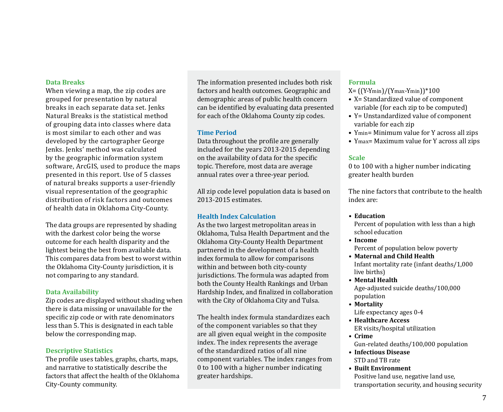### **Data Breaks**

When viewing a map, the zip codes are grouped for presentation by natural breaks in each separate data set. Jenks Natural Breaks is the statistical method of grouping data into classes where data is most similar to each other and was developed by the cartographer George Jenks. Jenks' method was calculated by the geographic information system software, ArcGIS, used to produce the maps presented in this report. Use of 5 classes of natural breaks supports a user-friendly visual representation of the geographic distribution of risk factors and outcomes of health data in Oklahoma City-County.

The data groups are represented by shading with the darkest color being the worse outcome for each health disparity and the lightest being the best from available data. This compares data from best to worst within the Oklahoma City-County jurisdiction, it is not comparing to any standard.

### **Data Availability**

Zip codes are displayed without shading when there is data missing or unavailable for the specific zip code or with rate denominators less than 5. This is designated in each table below the corresponding map.

### **Descriptive Statistics**

The profile uses tables, graphs, charts, maps, and narrative to statistically describe the factors that affect the health of the Oklahoma City-County community.

The information presented includes both risk factors and health outcomes. Geographic and demographic areas of public health concern can be identified by evaluating data presented for each of the Oklahoma County zip codes.

### **Time Period**

Data throughout the profile are generally included for the years 2013-2015 depending on the availability of data for the specific topic. Therefore, most data are average annual rates over a three-year period.

All zip code level population data is based on 2013-2015 estimates.

### **Health Index Calculation**

As the two largest metropolitan areas in Oklahoma, Tulsa Health Department and the Oklahoma City-County Health Department partnered in the development of a health index formula to allow for comparisons within and between both city-county jurisdictions. The formula was adapted from both the County Health Rankings and Urban Hardship Index, and finalized in collaboration with the City of Oklahoma City and Tulsa.

The health index formula standardizes each of the component variables so that they are all given equal weight in the composite index. The index represents the average of the standardized ratios of all nine component variables. The index ranges from 0 to 100 with a higher number indicating greater hardships.

### **Formula**

 $X = ((Y-Ymin)/(Ymax-Ymin))^*100$ 

- X= Standardized value of component variable (for each zip to be computed)
- Y= Unstandardized value of component variable for each zip
- Ymin= Minimum value for Y across all zips
- Ymax= Maximum value for Y across all zips

### **Scale**

0 to 100 with a higher number indicating greater health burden

The nine factors that contribute to the health index are:

### **• Education**

Percent of population with less than a high school education

- **• Income** Percent of population below poverty
- **• Maternal and Child Health** Infant mortality rate (infant deaths/1,000 live births)
- **• Mental Health** Age-adjusted suicide deaths/100,000 population
- **• Mortality** Life expectancy ages 0-4
- **• Healthcare Access** ER visits/hospital utilization
- **• Crime** Gun-related deaths/100,000 population
- **• Infectious Disease** STD and TB rate
- **• Built Environment**  Positive land use, negative land use, transportation security, and housing security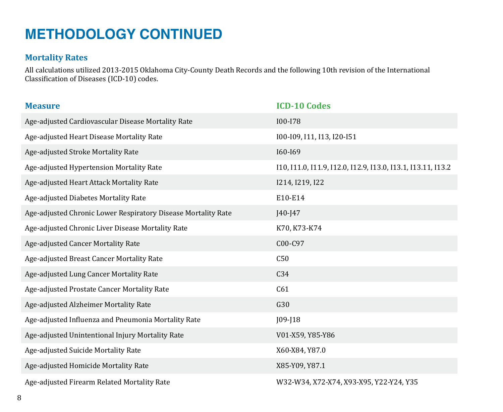## **METHODOLOGY CONTINUED**

### **Mortality Rates**

All calculations utilized 2013-2015 Oklahoma City-County Death Records and the following 10th revision of the International Classification of Diseases (ICD-10) codes.

| <b>Measure</b>                                                | <b>ICD-10 Codes</b>                                          |
|---------------------------------------------------------------|--------------------------------------------------------------|
| Age-adjusted Cardiovascular Disease Mortality Rate            | I00-I78                                                      |
| Age-adjusted Heart Disease Mortality Rate                     | 100-109, 111, 113, 120-151                                   |
| Age-adjusted Stroke Mortality Rate                            | I60-I69                                                      |
| Age-adjusted Hypertension Mortality Rate                      | 110, 111.0, 111.9, 112.0, 112.9, 113.0, 113.1, 113.11, 113.2 |
| Age-adjusted Heart Attack Mortality Rate                      | 1214, 1219, 122                                              |
| Age-adjusted Diabetes Mortality Rate                          | E10-E14                                                      |
| Age-adjusted Chronic Lower Respiratory Disease Mortality Rate | $J40-J47$                                                    |
| Age-adjusted Chronic Liver Disease Mortality Rate             | K70, K73-K74                                                 |
| Age-adjusted Cancer Mortality Rate                            | C00-C97                                                      |
| Age-adjusted Breast Cancer Mortality Rate                     | C50                                                          |
| Age-adjusted Lung Cancer Mortality Rate                       | C34                                                          |
| Age-adjusted Prostate Cancer Mortality Rate                   | C61                                                          |
| Age-adjusted Alzheimer Mortality Rate                         | G30                                                          |
| Age-adjusted Influenza and Pneumonia Mortality Rate           | $JO9-J18$                                                    |
| Age-adjusted Unintentional Injury Mortality Rate              | V01-X59, Y85-Y86                                             |
| Age-adjusted Suicide Mortality Rate                           | X60-X84, Y87.0                                               |
| Age-adjusted Homicide Mortality Rate                          | X85-Y09, Y87.1                                               |
| Age-adjusted Firearm Related Mortality Rate                   | W32-W34, X72-X74, X93-X95, Y22-Y24, Y35                      |